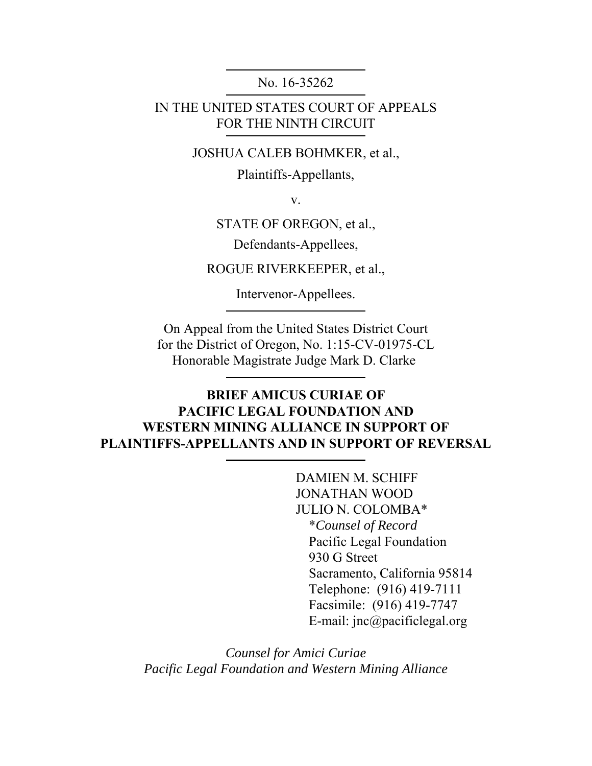No. 16-35262

IN THE UNITED STATES COURT OF APPEALS FOR THE NINTH CIRCUIT

JOSHUA CALEB BOHMKER, et al.,

Plaintiffs-Appellants,

v.

STATE OF OREGON, et al.,

Defendants-Appellees,

ROGUE RIVERKEEPER, et al.,

Intervenor-Appellees.

On Appeal from the United States District Court for the District of Oregon, No. 1:15-CV-01975-CL Honorable Magistrate Judge Mark D. Clarke

### **BRIEF AMICUS CURIAE OF PACIFIC LEGAL FOUNDATION AND WESTERN MINING ALLIANCE IN SUPPORT OF PLAINTIFFS-APPELLANTS AND IN SUPPORT OF REVERSAL**

DAMIEN M. SCHIFF JONATHAN WOOD JULIO N. COLOMBA\* \**Counsel of Record* Pacific Legal Foundation 930 G Street Sacramento, California 95814 Telephone: (916) 419-7111 Facsimile: (916) 419-7747 E-mail: jnc@pacificlegal.org

*Counsel for Amici Curiae Pacific Legal Foundation and Western Mining Alliance*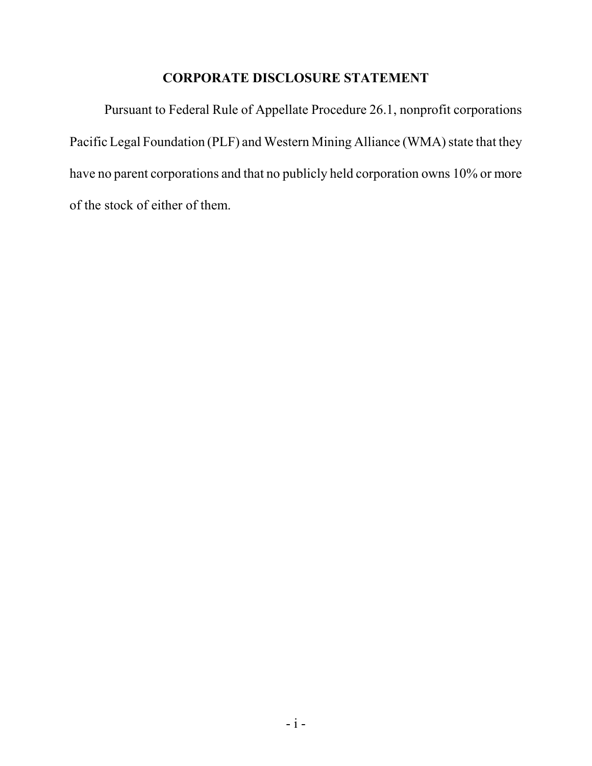### **CORPORATE DISCLOSURE STATEMENT**

Pursuant to Federal Rule of Appellate Procedure 26.1, nonprofit corporations Pacific Legal Foundation (PLF) and Western Mining Alliance (WMA) state that they have no parent corporations and that no publicly held corporation owns 10% or more of the stock of either of them.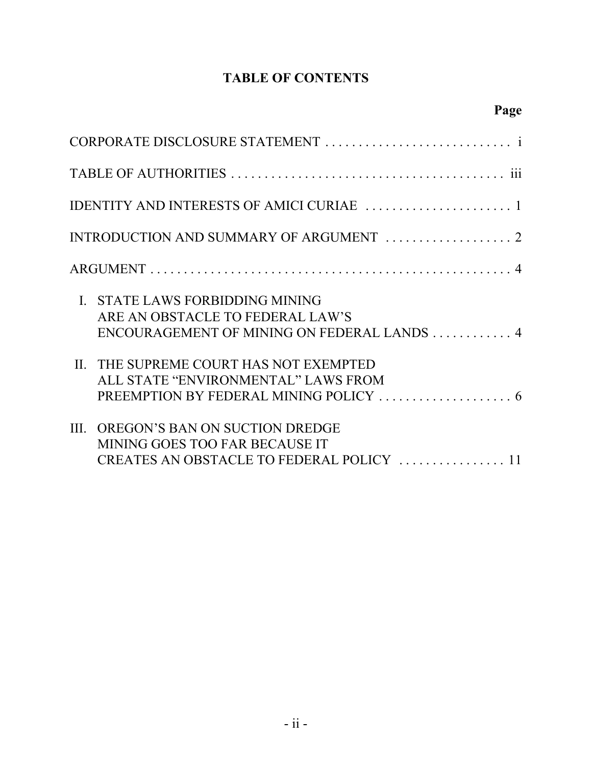## **TABLE OF CONTENTS**

**Page**

| $\mathbf{I}$ | STATE LAWS FORBIDDING MINING<br>ARE AN OBSTACLE TO FEDERAL LAW'S<br>ENCOURAGEMENT OF MINING ON FEDERAL LANDS 4 |
|--------------|----------------------------------------------------------------------------------------------------------------|
|              | II. THE SUPREME COURT HAS NOT EXEMPTED<br>ALL STATE "ENVIRONMENTAL" LAWS FROM                                  |
|              | III. OREGON'S BAN ON SUCTION DREDGE<br>MINING GOES TOO FAR BECAUSE IT                                          |

CREATES AN OBSTACLE TO FEDERAL POLICY . . . . . . . . . . . . . . . . 11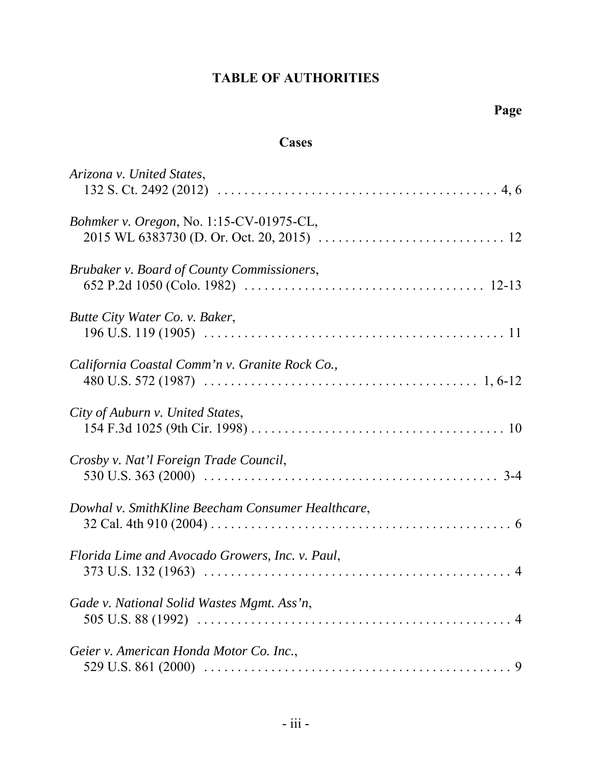# **TABLE OF AUTHORITIES**

### **Cases**

| Arizona v. United States,                         |
|---------------------------------------------------|
| Bohmker v. Oregon, No. 1:15-CV-01975-CL,          |
| Brubaker v. Board of County Commissioners,        |
| Butte City Water Co. v. Baker,                    |
| California Coastal Comm'n v. Granite Rock Co.,    |
| City of Auburn v. United States,                  |
| Crosby v. Nat'l Foreign Trade Council,            |
| Dowhal v. SmithKline Beecham Consumer Healthcare, |
| Florida Lime and Avocado Growers, Inc. v. Paul,   |
| Gade v. National Solid Wastes Mgmt. Ass'n,        |
| Geier v. American Honda Motor Co. Inc.,           |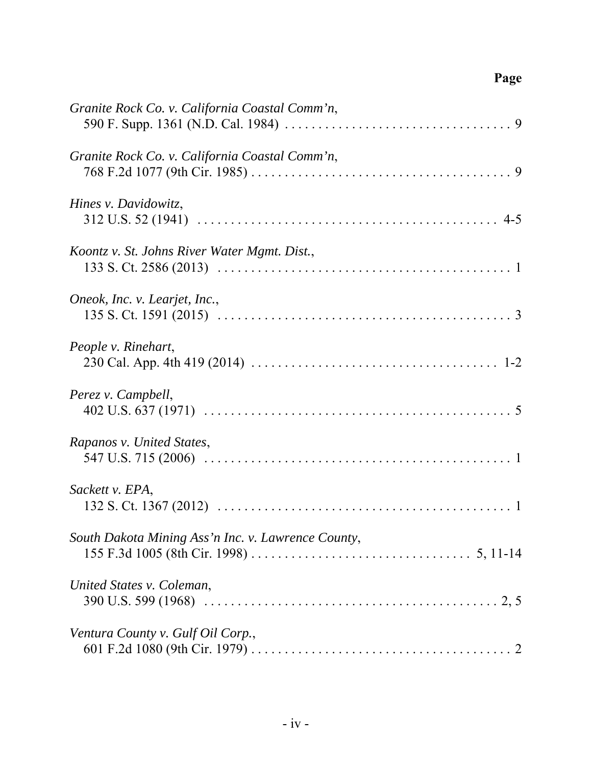# **Page**

| Granite Rock Co. v. California Coastal Comm'n,     |
|----------------------------------------------------|
| Granite Rock Co. v. California Coastal Comm'n,     |
| Hines v. Davidowitz,                               |
| Koontz v. St. Johns River Water Mgmt. Dist.,       |
| Oneok, Inc. v. Learjet, Inc.,                      |
| People v. Rinehart,                                |
| Perez v. Campbell,                                 |
| Rapanos v. United States,                          |
| Sackett v. EPA,                                    |
| South Dakota Mining Ass'n Inc. v. Lawrence County, |
| United States v. Coleman,                          |
| Ventura County v. Gulf Oil Corp.,                  |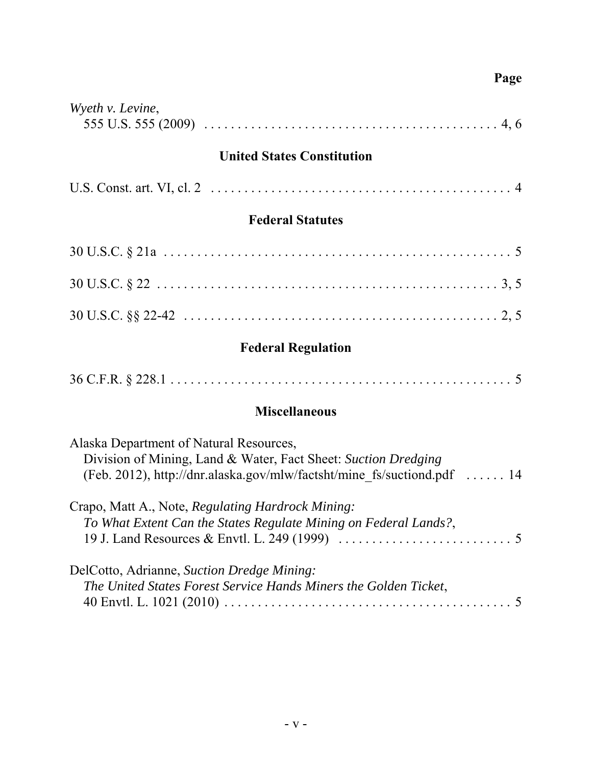## **Page**

| Wyeth v. Levine, |  |
|------------------|--|
|                  |  |

### **United States Constitution**

|--|--|--|

### **Federal Statutes**

# **Federal Regulation**

|--|--|

# **Miscellaneous**

| Alaska Department of Natural Resources,                                 |  |
|-------------------------------------------------------------------------|--|
| Division of Mining, Land & Water, Fact Sheet: Suction Dredging          |  |
| (Feb. 2012), http://dnr.alaska.gov/mlw/factsht/mine fs/suctiond.pdf  14 |  |
| Crapo, Matt A., Note, Regulating Hardrock Mining:                       |  |
| To What Extent Can the States Regulate Mining on Federal Lands?,        |  |
|                                                                         |  |
| DelCotto, Adrianne, Suction Dredge Mining:                              |  |
| The United States Forest Service Hands Miners the Golden Ticket,        |  |
|                                                                         |  |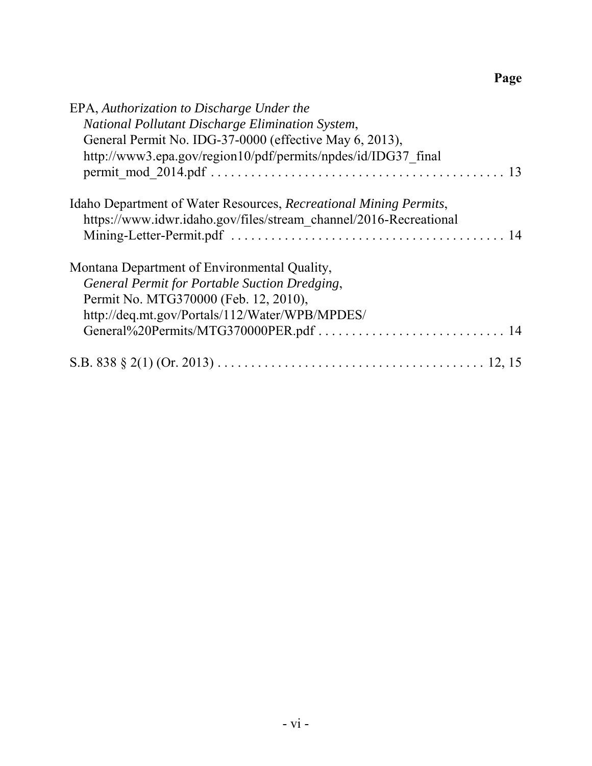# **Page**

| EPA, Authorization to Discharge Under the                         |  |
|-------------------------------------------------------------------|--|
| National Pollutant Discharge Elimination System,                  |  |
| General Permit No. IDG-37-0000 (effective May 6, 2013),           |  |
| http://www3.epa.gov/region10/pdf/permits/npdes/id/IDG37 final     |  |
|                                                                   |  |
| Idaho Department of Water Resources, Recreational Mining Permits, |  |
| https://www.idwr.idaho.gov/files/stream channel/2016-Recreational |  |
|                                                                   |  |
| Montana Department of Environmental Quality,                      |  |
| General Permit for Portable Suction Dredging,                     |  |
| Permit No. MTG370000 (Feb. 12, 2010),                             |  |
| http://deq.mt.gov/Portals/112/Water/WPB/MPDES/                    |  |
|                                                                   |  |
|                                                                   |  |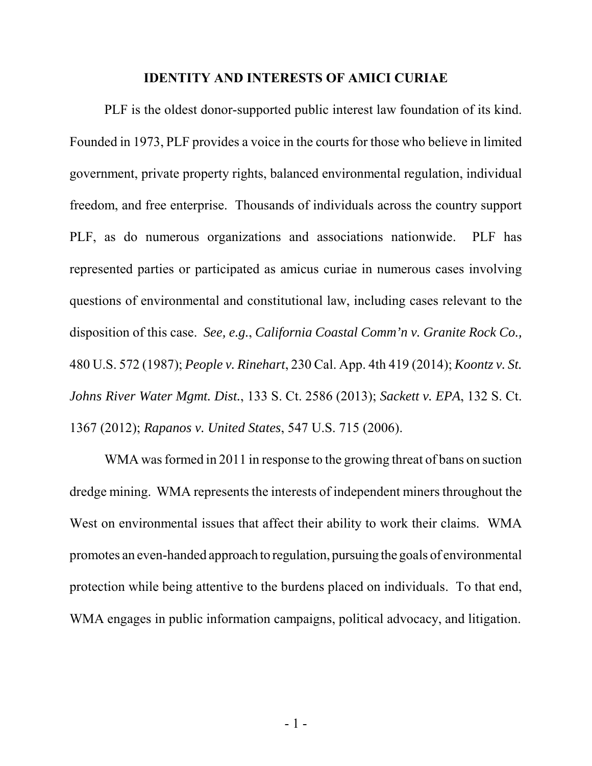#### **IDENTITY AND INTERESTS OF AMICI CURIAE**

PLF is the oldest donor-supported public interest law foundation of its kind. Founded in 1973, PLF provides a voice in the courts for those who believe in limited government, private property rights, balanced environmental regulation, individual freedom, and free enterprise. Thousands of individuals across the country support PLF, as do numerous organizations and associations nationwide. PLF has represented parties or participated as amicus curiae in numerous cases involving questions of environmental and constitutional law, including cases relevant to the disposition of this case. *See, e.g.*, *California Coastal Comm'n v. Granite Rock Co.,* 480 U.S. 572 (1987); *People v. Rinehart*, 230 Cal. App. 4th 419 (2014); *Koontz v. St. Johns River Water Mgmt. Dist.*, 133 S. Ct. 2586 (2013); *Sackett v. EPA*, 132 S. Ct. 1367 (2012); *Rapanos v. United States*, 547 U.S. 715 (2006).

WMA was formed in 2011 in response to the growing threat of bans on suction dredge mining. WMA represents the interests of independent miners throughout the West on environmental issues that affect their ability to work their claims. WMA promotes an even-handed approach to regulation, pursuing the goals of environmental protection while being attentive to the burdens placed on individuals. To that end, WMA engages in public information campaigns, political advocacy, and litigation.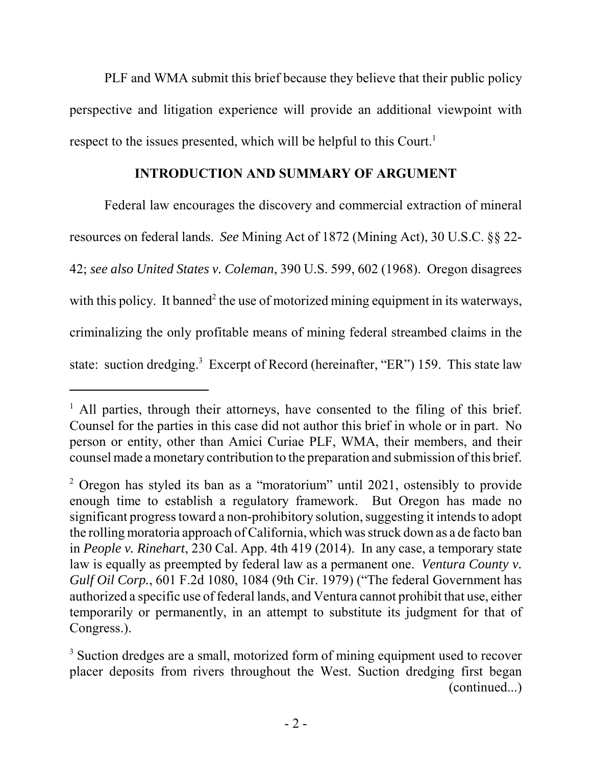PLF and WMA submit this brief because they believe that their public policy perspective and litigation experience will provide an additional viewpoint with respect to the issues presented, which will be helpful to this Court.<sup>1</sup>

#### **INTRODUCTION AND SUMMARY OF ARGUMENT**

Federal law encourages the discovery and commercial extraction of mineral resources on federal lands. *See* Mining Act of 1872 (Mining Act), 30 U.S.C. §§ 22- 42; *see also United States v. Coleman*, 390 U.S. 599, 602 (1968). Oregon disagrees with this policy. It banned<sup>2</sup> the use of motorized mining equipment in its waterways, criminalizing the only profitable means of mining federal streambed claims in the state: suction dredging.<sup>3</sup> Excerpt of Record (hereinafter, "ER") 159. This state law

<sup>&</sup>lt;sup>1</sup> All parties, through their attorneys, have consented to the filing of this brief. Counsel for the parties in this case did not author this brief in whole or in part. No person or entity, other than Amici Curiae PLF, WMA, their members, and their counsel made a monetary contribution to the preparation and submission of this brief.

<sup>&</sup>lt;sup>2</sup> Oregon has styled its ban as a "moratorium" until 2021, ostensibly to provide enough time to establish a regulatory framework. But Oregon has made no significant progress toward a non-prohibitory solution, suggesting it intends to adopt the rolling moratoria approach of California, which was struck down as a de facto ban in *People v. Rinehart*, 230 Cal. App. 4th 419 (2014). In any case, a temporary state law is equally as preempted by federal law as a permanent one. *Ventura County v. Gulf Oil Corp.*, 601 F.2d 1080, 1084 (9th Cir. 1979) ("The federal Government has authorized a specific use of federal lands, and Ventura cannot prohibit that use, either temporarily or permanently, in an attempt to substitute its judgment for that of Congress.).

<sup>&</sup>lt;sup>3</sup> Suction dredges are a small, motorized form of mining equipment used to recover placer deposits from rivers throughout the West. Suction dredging first began (continued...)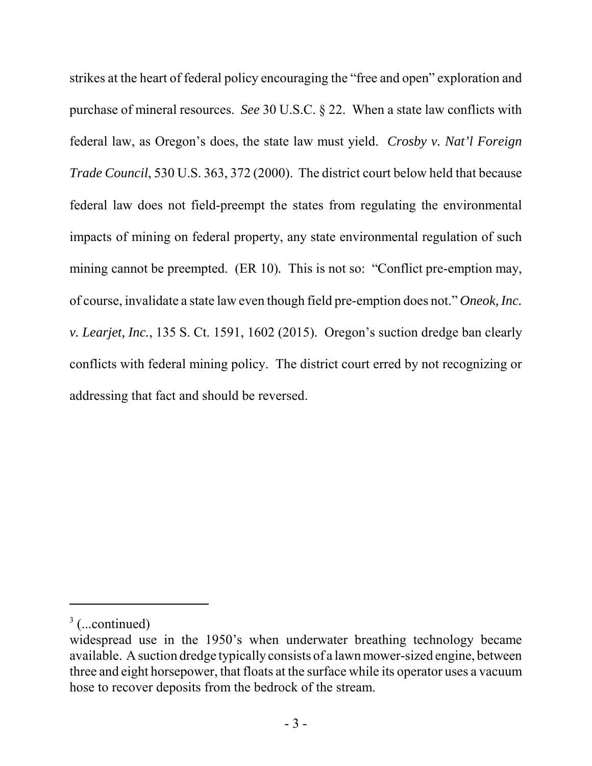strikes at the heart of federal policy encouraging the "free and open" exploration and purchase of mineral resources. *See* 30 U.S.C. § 22. When a state law conflicts with federal law, as Oregon's does, the state law must yield. *Crosby v. Nat'l Foreign Trade Council*, 530 U.S. 363, 372 (2000). The district court below held that because federal law does not field-preempt the states from regulating the environmental impacts of mining on federal property, any state environmental regulation of such mining cannot be preempted. (ER 10). This is not so: "Conflict pre-emption may, of course, invalidate a state law even though field pre-emption does not." *Oneok, Inc. v. Learjet, Inc.*, 135 S. Ct. 1591, 1602 (2015). Oregon's suction dredge ban clearly conflicts with federal mining policy. The district court erred by not recognizing or addressing that fact and should be reversed.

 $3$  (...continued)

widespread use in the 1950's when underwater breathing technology became available. A suction dredge typically consists of a lawn mower-sized engine, between three and eight horsepower, that floats at the surface while its operator uses a vacuum hose to recover deposits from the bedrock of the stream.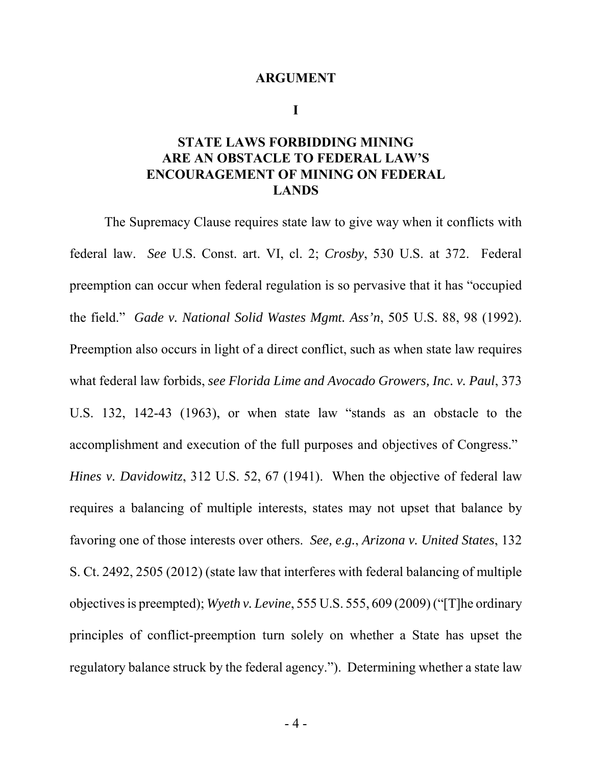#### **ARGUMENT**

**I**

### **STATE LAWS FORBIDDING MINING ARE AN OBSTACLE TO FEDERAL LAW'S ENCOURAGEMENT OF MINING ON FEDERAL LANDS**

The Supremacy Clause requires state law to give way when it conflicts with federal law. *See* U.S. Const. art. VI, cl. 2; *Crosby*, 530 U.S. at 372. Federal preemption can occur when federal regulation is so pervasive that it has "occupied the field." *Gade v. National Solid Wastes Mgmt. Ass'n*, 505 U.S. 88, 98 (1992). Preemption also occurs in light of a direct conflict, such as when state law requires what federal law forbids, *see Florida Lime and Avocado Growers, Inc. v. Paul*, 373 U.S. 132, 142-43 (1963), or when state law "stands as an obstacle to the accomplishment and execution of the full purposes and objectives of Congress." *Hines v. Davidowitz*, 312 U.S. 52, 67 (1941). When the objective of federal law requires a balancing of multiple interests, states may not upset that balance by favoring one of those interests over others. *See, e.g.*, *Arizona v. United States*, 132 S. Ct. 2492, 2505 (2012) (state law that interferes with federal balancing of multiple objectives is preempted); *Wyeth v. Levine*, 555 U.S. 555, 609 (2009) ("[T]he ordinary principles of conflict-preemption turn solely on whether a State has upset the regulatory balance struck by the federal agency."). Determining whether a state law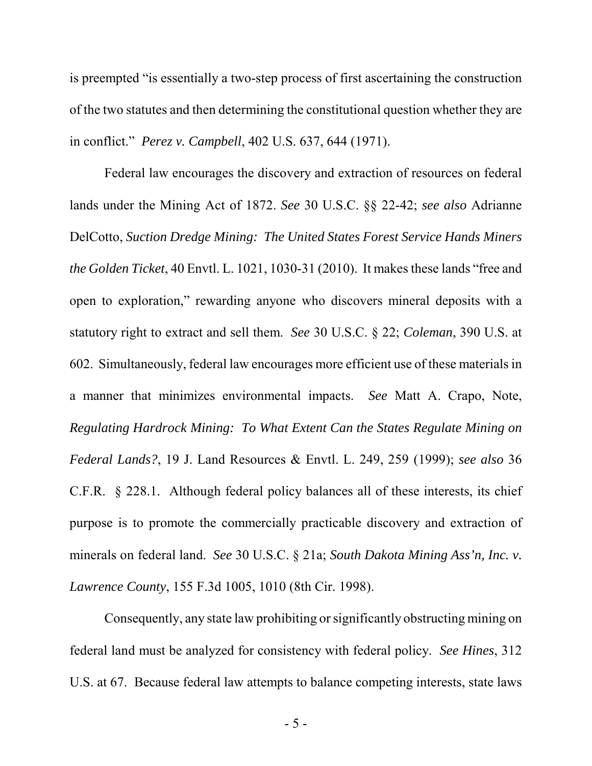is preempted "is essentially a two-step process of first ascertaining the construction of the two statutes and then determining the constitutional question whether they are in conflict." *Perez v. Campbell*, 402 U.S. 637, 644 (1971).

Federal law encourages the discovery and extraction of resources on federal lands under the Mining Act of 1872. *See* 30 U.S.C. §§ 22-42; *see also* Adrianne DelCotto, *Suction Dredge Mining: The United States Forest Service Hands Miners the Golden Ticket*, 40 Envtl. L. 1021, 1030-31 (2010). It makes these lands "free and open to exploration," rewarding anyone who discovers mineral deposits with a statutory right to extract and sell them. *See* 30 U.S.C. § 22; *Coleman*, 390 U.S. at 602. Simultaneously, federal law encourages more efficient use of these materials in a manner that minimizes environmental impacts. *See* Matt A. Crapo, Note, *Regulating Hardrock Mining: To What Extent Can the States Regulate Mining on Federal Lands?*, 19 J. Land Resources & Envtl. L. 249, 259 (1999); *see also* 36 C.F.R. § 228.1. Although federal policy balances all of these interests, its chief purpose is to promote the commercially practicable discovery and extraction of minerals on federal land. *See* 30 U.S.C. § 21a; *South Dakota Mining Ass'n, Inc. v. Lawrence County*, 155 F.3d 1005, 1010 (8th Cir. 1998).

Consequently, any state law prohibiting or significantly obstructing mining on federal land must be analyzed for consistency with federal policy. *See Hines*, 312 U.S. at 67. Because federal law attempts to balance competing interests, state laws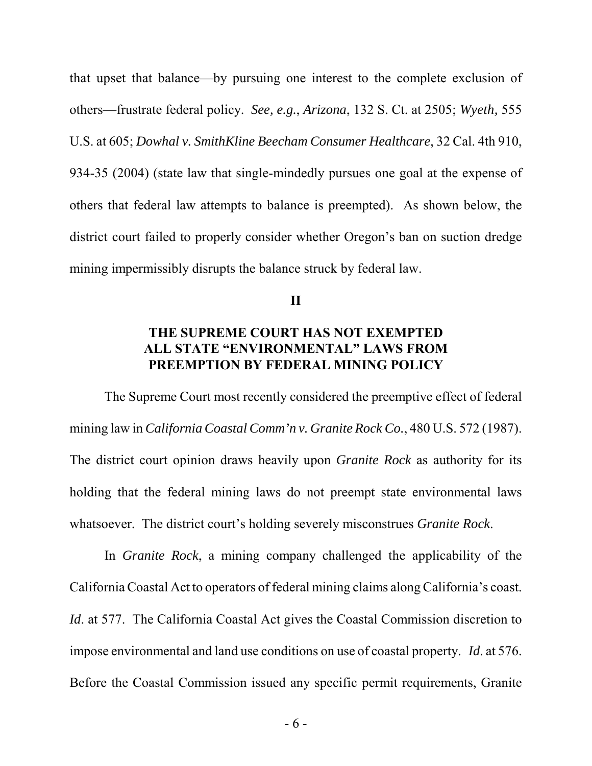that upset that balance—by pursuing one interest to the complete exclusion of others—frustrate federal policy. *See, e.g.*, *Arizona*, 132 S. Ct. at 2505; *Wyeth,* 555 U.S. at 605; *Dowhal v. SmithKline Beecham Consumer Healthcare*, 32 Cal. 4th 910, 934-35 (2004) (state law that single-mindedly pursues one goal at the expense of others that federal law attempts to balance is preempted). As shown below, the district court failed to properly consider whether Oregon's ban on suction dredge mining impermissibly disrupts the balance struck by federal law.

**II**

### **THE SUPREME COURT HAS NOT EXEMPTED ALL STATE "ENVIRONMENTAL" LAWS FROM PREEMPTION BY FEDERAL MINING POLICY**

The Supreme Court most recently considered the preemptive effect of federal mining law in *California Coastal Comm'n v. Granite Rock Co.*, 480 U.S. 572 (1987). The district court opinion draws heavily upon *Granite Rock* as authority for its holding that the federal mining laws do not preempt state environmental laws whatsoever. The district court's holding severely misconstrues *Granite Rock*.

In *Granite Rock*, a mining company challenged the applicability of the California Coastal Act to operators of federal mining claims along California's coast. *Id.* at 577. The California Coastal Act gives the Coastal Commission discretion to impose environmental and land use conditions on use of coastal property. *Id*. at 576. Before the Coastal Commission issued any specific permit requirements, Granite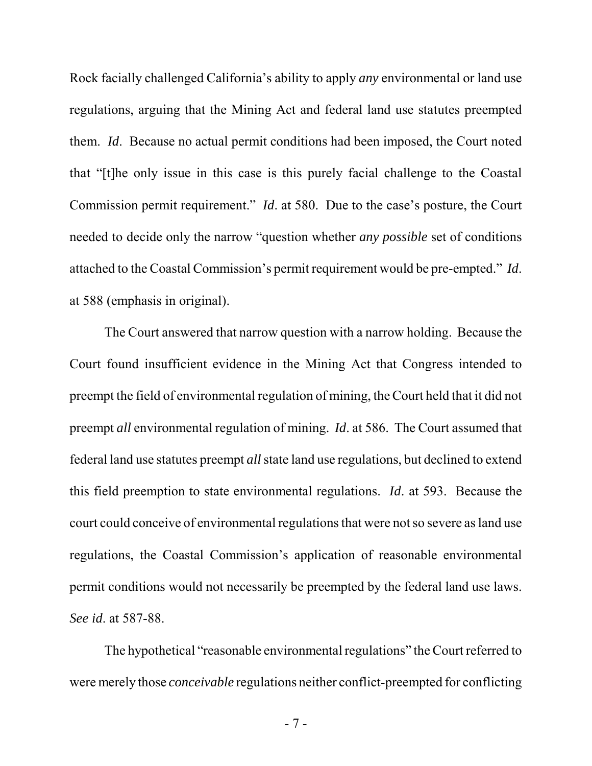Rock facially challenged California's ability to apply *any* environmental or land use regulations, arguing that the Mining Act and federal land use statutes preempted them. *Id*. Because no actual permit conditions had been imposed, the Court noted that "[t]he only issue in this case is this purely facial challenge to the Coastal Commission permit requirement." *Id*. at 580. Due to the case's posture, the Court needed to decide only the narrow "question whether *any possible* set of conditions attached to the Coastal Commission's permit requirement would be pre-empted." *Id*. at 588 (emphasis in original).

The Court answered that narrow question with a narrow holding. Because the Court found insufficient evidence in the Mining Act that Congress intended to preempt the field of environmental regulation of mining, the Court held that it did not preempt *all* environmental regulation of mining. *Id*. at 586. The Court assumed that federal land use statutes preempt *all* state land use regulations, but declined to extend this field preemption to state environmental regulations. *Id*. at 593. Because the court could conceive of environmental regulations that were not so severe as land use regulations, the Coastal Commission's application of reasonable environmental permit conditions would not necessarily be preempted by the federal land use laws. *See id*. at 587-88.

The hypothetical "reasonable environmental regulations" the Court referred to were merely those *conceivable* regulations neither conflict-preempted for conflicting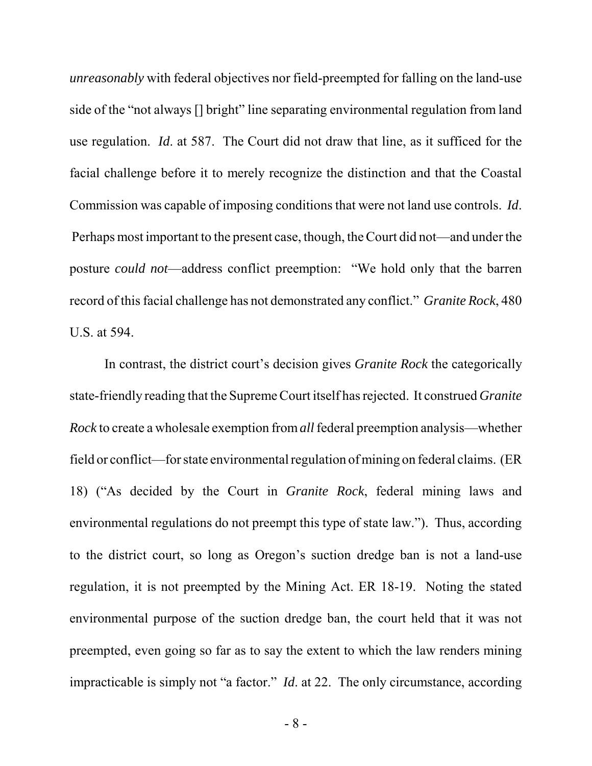*unreasonably* with federal objectives nor field-preempted for falling on the land-use side of the "not always [] bright" line separating environmental regulation from land use regulation. *Id*. at 587. The Court did not draw that line, as it sufficed for the facial challenge before it to merely recognize the distinction and that the Coastal Commission was capable of imposing conditions that were not land use controls. *Id*. Perhaps most important to the present case, though, the Court did not—and under the posture *could not*—address conflict preemption: "We hold only that the barren record of this facial challenge has not demonstrated any conflict." *Granite Rock*, 480 U.S. at 594.

In contrast, the district court's decision gives *Granite Rock* the categorically state-friendly reading that the Supreme Court itself has rejected. It construed *Granite Rock* to create a wholesale exemption from *all* federal preemption analysis—whether field or conflict—for state environmental regulation of mining on federal claims. (ER 18) ("As decided by the Court in *Granite Rock*, federal mining laws and environmental regulations do not preempt this type of state law."). Thus, according to the district court, so long as Oregon's suction dredge ban is not a land-use regulation, it is not preempted by the Mining Act. ER 18-19. Noting the stated environmental purpose of the suction dredge ban, the court held that it was not preempted, even going so far as to say the extent to which the law renders mining impracticable is simply not "a factor." *Id*. at 22. The only circumstance, according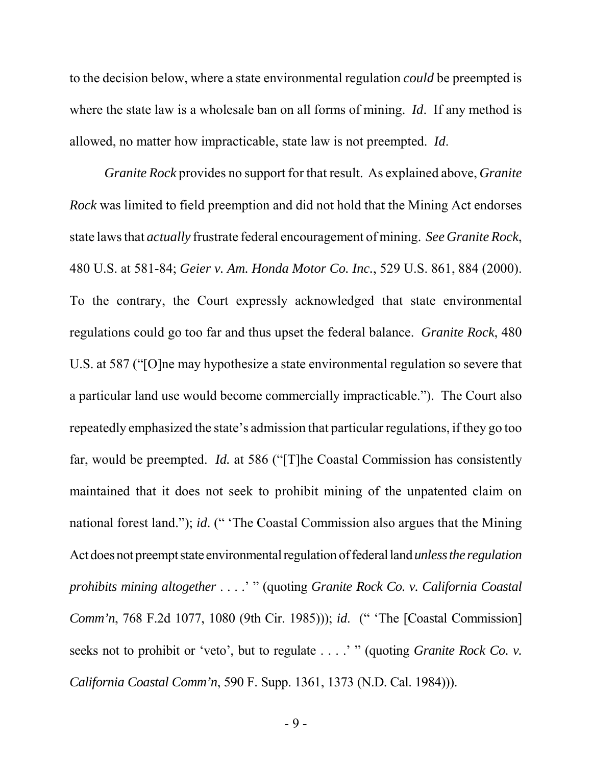to the decision below, where a state environmental regulation *could* be preempted is where the state law is a wholesale ban on all forms of mining. *Id*. If any method is allowed, no matter how impracticable, state law is not preempted. *Id*.

*Granite Rock* provides no support for that result. As explained above, *Granite Rock* was limited to field preemption and did not hold that the Mining Act endorses state laws that *actually* frustrate federal encouragement of mining. *See Granite Rock*, 480 U.S. at 581-84; *Geier v. Am. Honda Motor Co. Inc.*, 529 U.S. 861, 884 (2000). To the contrary, the Court expressly acknowledged that state environmental regulations could go too far and thus upset the federal balance. *Granite Rock*, 480 U.S. at 587 ("[O]ne may hypothesize a state environmental regulation so severe that a particular land use would become commercially impracticable."). The Court also repeatedly emphasized the state's admission that particular regulations, if they go too far, would be preempted. *Id.* at 586 ("[T]he Coastal Commission has consistently maintained that it does not seek to prohibit mining of the unpatented claim on national forest land."); *id*. (" 'The Coastal Commission also argues that the Mining Act does not preempt state environmental regulation of federal land *unless the regulation prohibits mining altogether* . . . .' " (quoting *Granite Rock Co. v. California Coastal Comm'n*, 768 F.2d 1077, 1080 (9th Cir. 1985))); *id*. (" 'The [Coastal Commission] seeks not to prohibit or 'veto', but to regulate . . . .' " (quoting *Granite Rock Co. v. California Coastal Comm'n*, 590 F. Supp. 1361, 1373 (N.D. Cal. 1984))).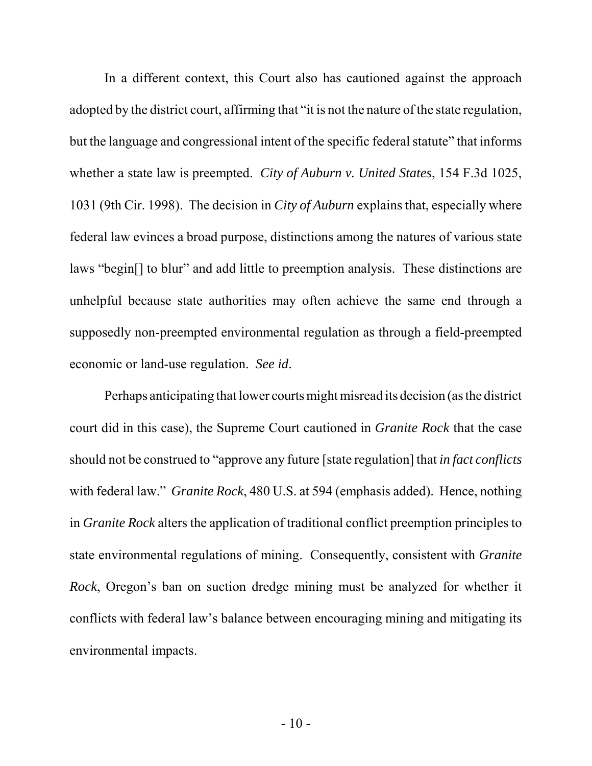In a different context, this Court also has cautioned against the approach adopted by the district court, affirming that "it is not the nature of the state regulation, but the language and congressional intent of the specific federal statute" that informs whether a state law is preempted. *City of Auburn v. United States*, 154 F.3d 1025, 1031 (9th Cir. 1998). The decision in *City of Auburn* explains that, especially where federal law evinces a broad purpose, distinctions among the natures of various state laws "begin[] to blur" and add little to preemption analysis. These distinctions are unhelpful because state authorities may often achieve the same end through a supposedly non-preempted environmental regulation as through a field-preempted economic or land-use regulation. *See id*.

Perhaps anticipating that lower courts might misread its decision (as the district court did in this case), the Supreme Court cautioned in *Granite Rock* that the case should not be construed to "approve any future [state regulation] that *in fact conflicts* with federal law." *Granite Rock*, 480 U.S. at 594 (emphasis added). Hence, nothing in *Granite Rock* alters the application of traditional conflict preemption principles to state environmental regulations of mining. Consequently, consistent with *Granite Rock*, Oregon's ban on suction dredge mining must be analyzed for whether it conflicts with federal law's balance between encouraging mining and mitigating its environmental impacts.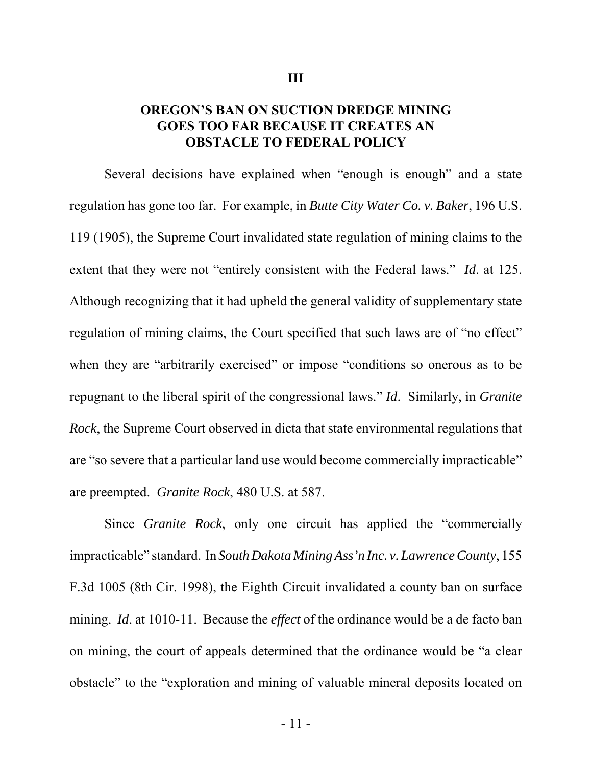#### **OREGON'S BAN ON SUCTION DREDGE MINING GOES TOO FAR BECAUSE IT CREATES AN OBSTACLE TO FEDERAL POLICY**

Several decisions have explained when "enough is enough" and a state regulation has gone too far. For example, in *Butte City Water Co. v. Baker*, 196 U.S. 119 (1905), the Supreme Court invalidated state regulation of mining claims to the extent that they were not "entirely consistent with the Federal laws." *Id*. at 125. Although recognizing that it had upheld the general validity of supplementary state regulation of mining claims, the Court specified that such laws are of "no effect" when they are "arbitrarily exercised" or impose "conditions so onerous as to be repugnant to the liberal spirit of the congressional laws." *Id*. Similarly, in *Granite Rock*, the Supreme Court observed in dicta that state environmental regulations that are "so severe that a particular land use would become commercially impracticable" are preempted. *Granite Rock*, 480 U.S. at 587.

Since *Granite Rock*, only one circuit has applied the "commercially impracticable" standard. In *South Dakota Mining Ass'n Inc. v. Lawrence County*, 155 F.3d 1005 (8th Cir. 1998), the Eighth Circuit invalidated a county ban on surface mining. *Id*. at 1010-11. Because the *effect* of the ordinance would be a de facto ban on mining, the court of appeals determined that the ordinance would be "a clear obstacle" to the "exploration and mining of valuable mineral deposits located on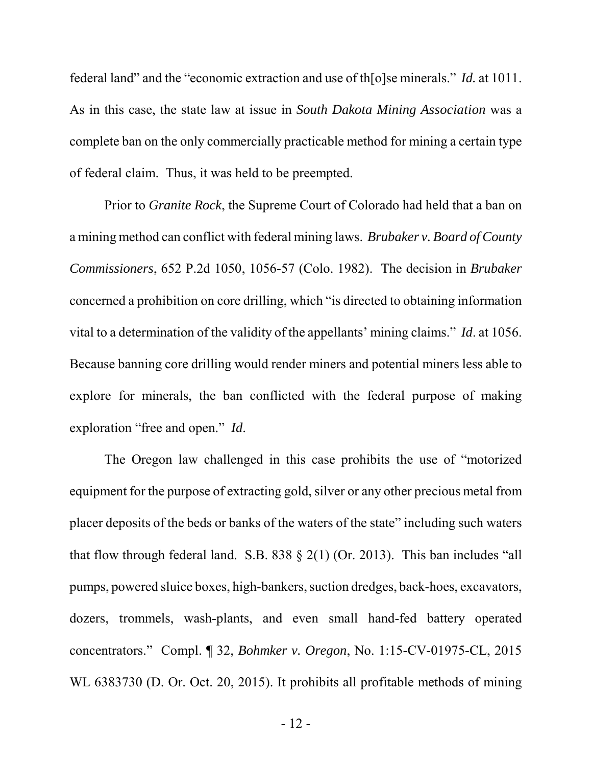federal land" and the "economic extraction and use of th[o]se minerals." *Id.* at 1011. As in this case, the state law at issue in *South Dakota Mining Association* was a complete ban on the only commercially practicable method for mining a certain type of federal claim. Thus, it was held to be preempted.

Prior to *Granite Rock*, the Supreme Court of Colorado had held that a ban on a mining method can conflict with federal mining laws. *Brubaker v. Board of County Commissioners*, 652 P.2d 1050, 1056-57 (Colo. 1982). The decision in *Brubaker* concerned a prohibition on core drilling, which "is directed to obtaining information vital to a determination of the validity of the appellants' mining claims." *Id*. at 1056. Because banning core drilling would render miners and potential miners less able to explore for minerals, the ban conflicted with the federal purpose of making exploration "free and open." *Id*.

The Oregon law challenged in this case prohibits the use of "motorized equipment for the purpose of extracting gold, silver or any other precious metal from placer deposits of the beds or banks of the waters of the state" including such waters that flow through federal land. S.B.  $838 \t{2(1)}$  (Or. 2013). This ban includes "all pumps, powered sluice boxes, high-bankers, suction dredges, back-hoes, excavators, dozers, trommels, wash-plants, and even small hand-fed battery operated concentrators." Compl. ¶ 32, *Bohmker v. Oregon*, No. 1:15-CV-01975-CL, 2015 WL 6383730 (D. Or. Oct. 20, 2015). It prohibits all profitable methods of mining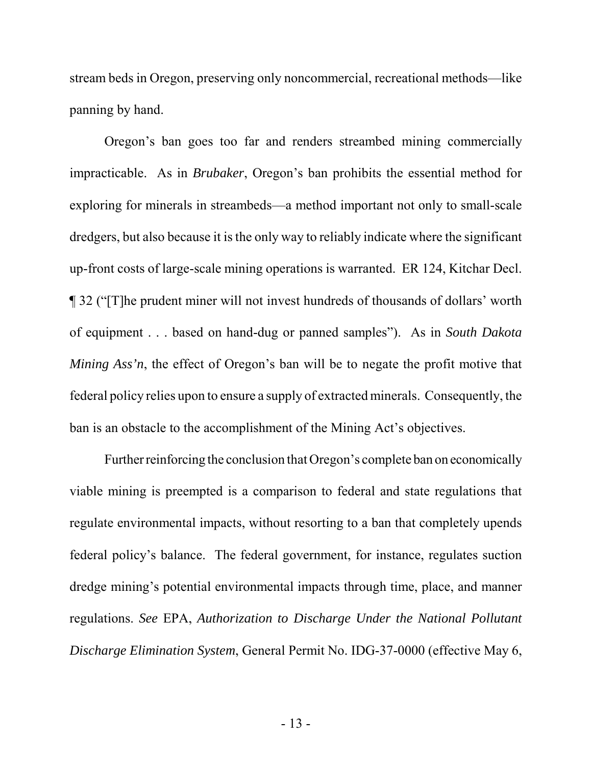stream beds in Oregon, preserving only noncommercial, recreational methods—like panning by hand.

Oregon's ban goes too far and renders streambed mining commercially impracticable. As in *Brubaker*, Oregon's ban prohibits the essential method for exploring for minerals in streambeds—a method important not only to small-scale dredgers, but also because it is the only way to reliably indicate where the significant up-front costs of large-scale mining operations is warranted. ER 124, Kitchar Decl. ¶ 32 ("[T]he prudent miner will not invest hundreds of thousands of dollars' worth of equipment . . . based on hand-dug or panned samples"). As in *South Dakota Mining Ass'n*, the effect of Oregon's ban will be to negate the profit motive that federal policy relies upon to ensure a supply of extracted minerals. Consequently, the ban is an obstacle to the accomplishment of the Mining Act's objectives.

Further reinforcing the conclusion that Oregon's complete ban on economically viable mining is preempted is a comparison to federal and state regulations that regulate environmental impacts, without resorting to a ban that completely upends federal policy's balance. The federal government, for instance, regulates suction dredge mining's potential environmental impacts through time, place, and manner regulations. *See* EPA, *Authorization to Discharge Under the National Pollutant Discharge Elimination System*, General Permit No. IDG-37-0000 (effective May 6,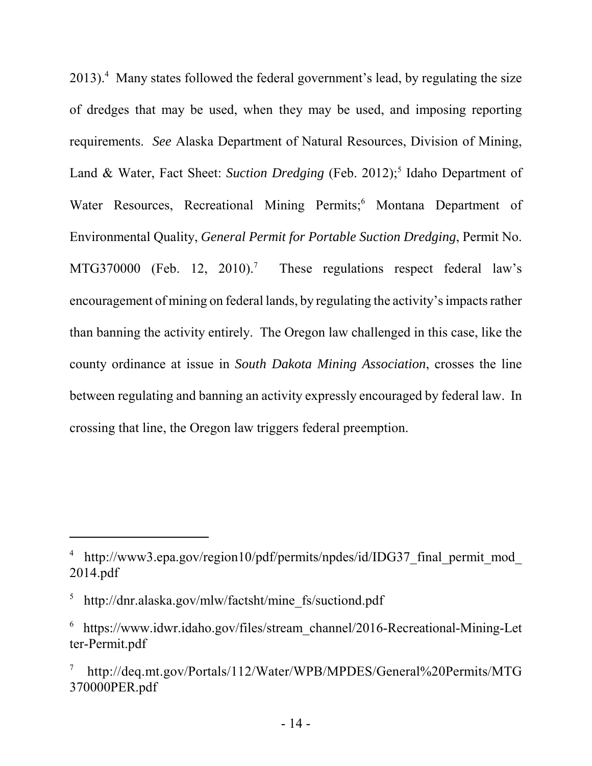2013).<sup>4</sup> Many states followed the federal government's lead, by regulating the size of dredges that may be used, when they may be used, and imposing reporting requirements. *See* Alaska Department of Natural Resources, Division of Mining, Land & Water, Fact Sheet: Suction Dredging (Feb. 2012);<sup>5</sup> Idaho Department of Water Resources, Recreational Mining Permits;<sup>6</sup> Montana Department of Environmental Quality, *General Permit for Portable Suction Dredging*, Permit No. MTG370000 (Feb. 12, 2010).<sup>7</sup> These regulations respect federal law's encouragement of mining on federal lands, by regulating the activity's impacts rather than banning the activity entirely. The Oregon law challenged in this case, like the county ordinance at issue in *South Dakota Mining Association*, crosses the line between regulating and banning an activity expressly encouraged by federal law. In crossing that line, the Oregon law triggers federal preemption.

<sup>&</sup>lt;sup>4</sup> http://www3.epa.gov/region10/pdf/permits/npdes/id/IDG37\_final\_permit\_mod\_ 2014.pdf

<sup>5</sup> http://dnr.alaska.gov/mlw/factsht/mine\_fs/suctiond.pdf

<sup>6</sup> https://www.idwr.idaho.gov/files/stream\_channel/2016-Recreational-Mining-Let ter-Permit.pdf

<sup>7</sup> http://deq.mt.gov/Portals/112/Water/WPB/MPDES/General%20Permits/MTG 370000PER.pdf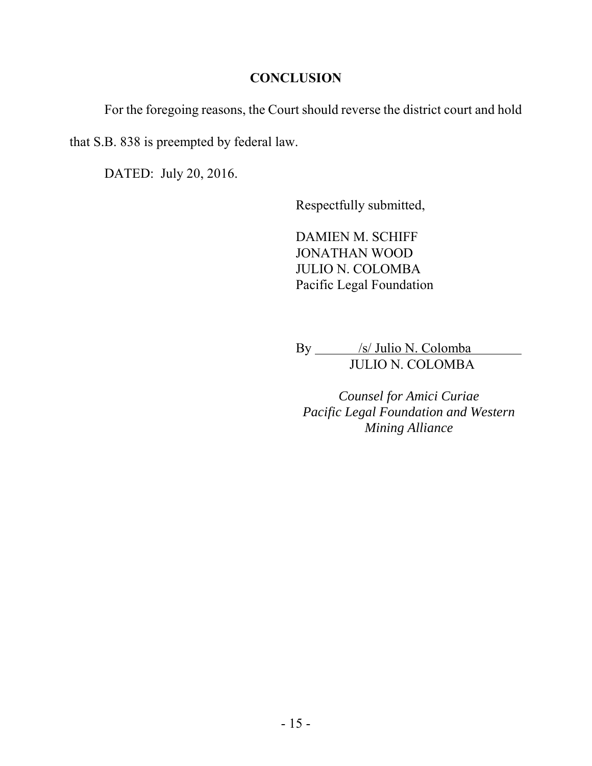#### **CONCLUSION**

For the foregoing reasons, the Court should reverse the district court and hold

that S.B. 838 is preempted by federal law.

DATED: July 20, 2016.

Respectfully submitted,

DAMIEN M. SCHIFF JONATHAN WOOD JULIO N. COLOMBA Pacific Legal Foundation

By \_\_\_\_\_ /s/ Julio N. Colomba JULIO N. COLOMBA

*Counsel for Amici Curiae Pacific Legal Foundation and Western Mining Alliance*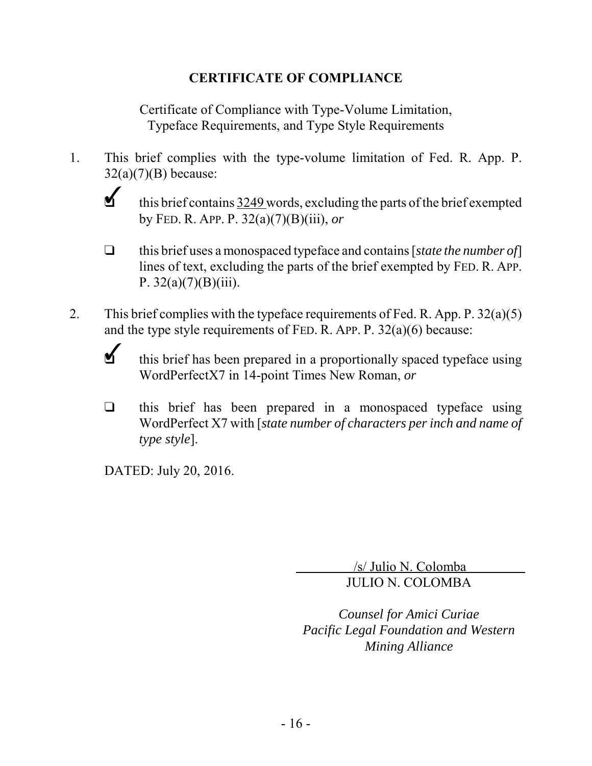### **CERTIFICATE OF COMPLIANCE**

Certificate of Compliance with Type-Volume Limitation, Typeface Requirements, and Type Style Requirements

- 1. This brief complies with the type-volume limitation of Fed. R. App. P.  $32(a)(7)(B)$  because:
	- $\mathbf{v}$ this brief contains 3249 words, excluding the parts of the brief exempted by FED. R. APP. P. 32(a)(7)(B)(iii), *or*
	- $\Box$  this brief uses a monospaced typeface and contains [*state the number of*] lines of text, excluding the parts of the brief exempted by FED. R. APP. P.  $32(a)(7)(B)(iii)$ .
- 2. This brief complies with the typeface requirements of Fed. R. App. P.  $32(a)(5)$ and the type style requirements of FED. R. APP. P. 32(a)(6) because:
	- $\checkmark$ this brief has been prepared in a proportionally spaced typeface using WordPerfectX7 in 14-point Times New Roman, *or*
	- $\Box$  this brief has been prepared in a monospaced typeface using WordPerfect X7 with [*state number of characters per inch and name of type style*].

DATED: July 20, 2016.

 /s/ Julio N. Colomba JULIO N. COLOMBA

*Counsel for Amici Curiae Pacific Legal Foundation and Western Mining Alliance*